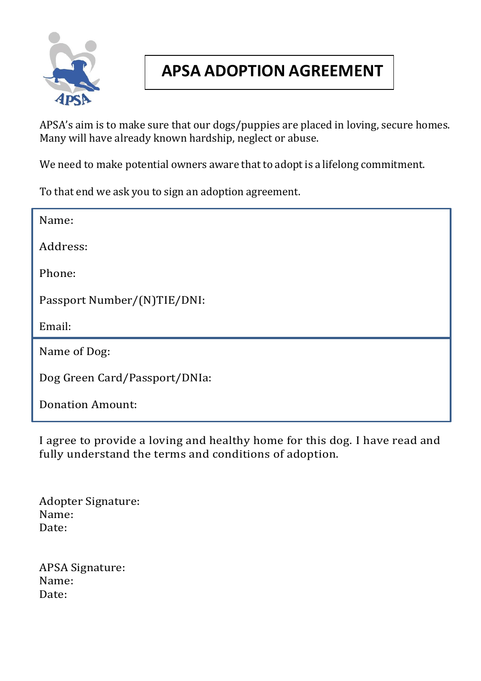

## **APSA ADOPTION AGREEMENT**

APSA's aim is to make sure that our dogs/puppies are placed in loving, secure homes. Many will have already known hardship, neglect or abuse.

We need to make potential owners aware that to adopt is a lifelong commitment.

To that end we ask you to sign an adoption agreement.

| Name:                         |
|-------------------------------|
| Address:                      |
| Phone:                        |
| Passport Number/(N)TIE/DNI:   |
| Email:                        |
| Name of Dog:                  |
|                               |
| Dog Green Card/Passport/DNIa: |

I agree to provide a loving and healthy home for this dog. I have read and fully understand the terms and conditions of adoption.

Adopter Signature: Name: Date:

APSA Signature: Name: Date: